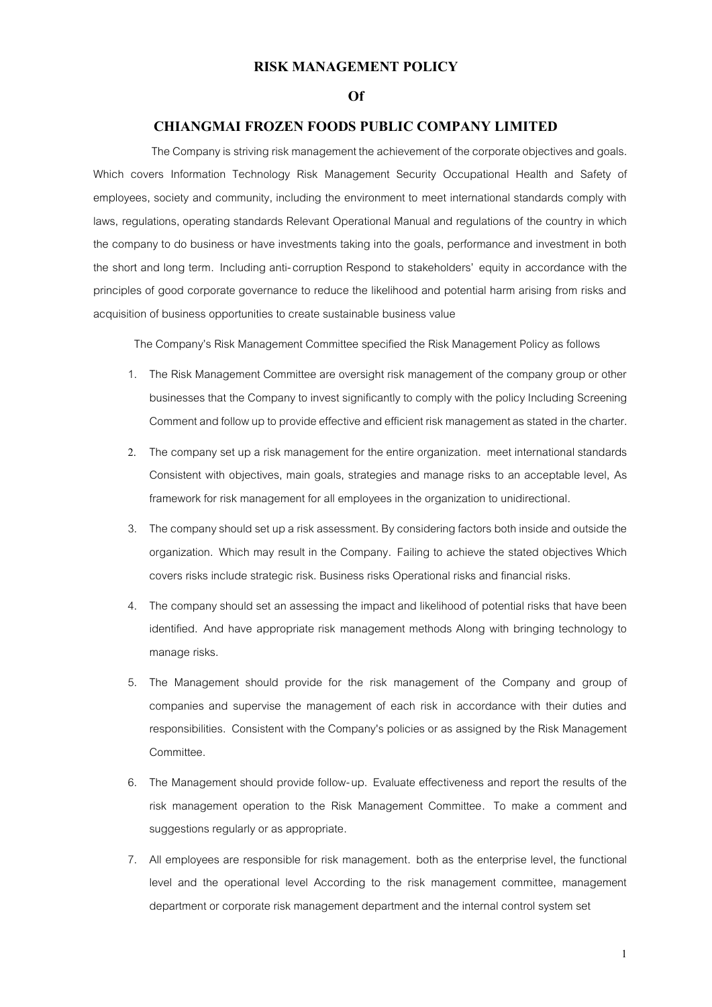## **RISK MANAGEMENT POLICY**

## **Of**

## **CHIANGMAI FROZEN FOODS PUBLIC COMPANY LIMITED**

The Company is striving risk management the achievement of the corporate objectives and goals. Which covers Information Technology Risk Management Security Occupational Health and Safety of employees, society and community, including the environment to meet international standards comply with laws, regulations, operating standards Relevant Operational Manual and regulations of the country in which the company to do business or have investments taking into the goals, performance and investment in both the short and long term. Including anti-corruption Respond to stakeholders' equity in accordance with the principles of good corporate governance to reduce the likelihood and potential harm arising from risks and acquisition of business opportunities to create sustainable business value

The Company's Risk Management Committee specified the Risk Management Policy as follows

- 1. The Risk Management Committee are oversight risk management of the company group or other businesses that the Company to invest significantly to comply with the policy Including Screening Comment and follow up to provide effective and efficient risk management as stated in the charter.
- 2. The company set up a risk management for the entire organization. meet international standards Consistent with objectives, main goals, strategies and manage risks to an acceptable level, As framework for risk management for all employees in the organization to unidirectional.
- 3. The company should set up a risk assessment. By considering factors both inside and outside the organization. Which may result in the Company. Failing to achieve the stated objectives Which covers risks include strategic risk. Business risks Operational risks and financial risks.
- 4. The company should set an assessing the impact and likelihood of potential risks that have been identified. And have appropriate risk management methods Along with bringing technology to manage risks.
- 5. The Management should provide for the risk management of the Company and group of companies and supervise the management of each risk in accordance with their duties and responsibilities. Consistent with the Company's policies or as assigned by the Risk Management Committee.
- 6. The Management should provide follow-up. Evaluate effectiveness and report the results of the risk management operation to the Risk Management Committee. To make a comment and suggestions regularly or as appropriate.
- 7. All employees are responsible for risk management. both as the enterprise level, the functional level and the operational level According to the risk management committee, management department or corporate risk management department and the internal control system set